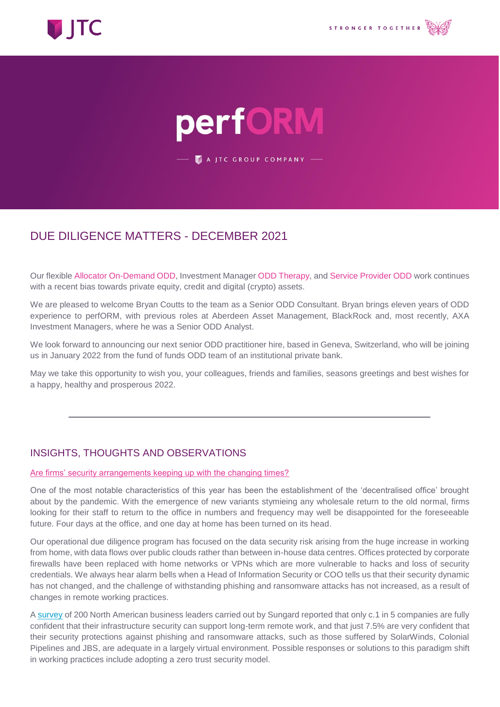

# perfORM

A JTC GROUP COMPANY -

## DUE DILIGENCE MATTERS - DECEMBER 2021

Our flexible Allocator On-Demand ODD, Investment Manager ODD Therapy, and Service Provider ODD work continues with a recent bias towards private equity, credit and digital (crypto) assets.

We are pleased to welcome Bryan Coutts to the team as a Senior ODD Consultant. Bryan brings eleven years of ODD experience to perfORM, with previous roles at Aberdeen Asset Management, BlackRock and, most recently, AXA Investment Managers, where he was a Senior ODD Analyst.

We look forward to announcing our next senior ODD practitioner hire, based in Geneva, Switzerland, who will be joining us in January 2022 from the fund of funds ODD team of an institutional private bank.

May we take this opportunity to wish you, your colleagues, friends and families, seasons greetings and best wishes for a happy, healthy and prosperous 2022.

### INSIGHTS, THOUGHTS AND OBSERVATIONS

#### Are firms' security arrangements keeping up with the changing times?

One of the most notable characteristics of this year has been the establishment of the 'decentralised office' brought about by the pandemic. With the emergence of new variants stymieing any wholesale return to the old normal, firms looking for their staff to return to the office in numbers and frequency may well be disappointed for the foreseeable future. Four days at the office, and one day at home has been turned on its head.

Our operational due diligence program has focused on the data security risk arising from the huge increase in working from home, with data flows over public clouds rather than between in-house data centres. Offices protected by corporate firewalls have been replaced with home networks or VPNs which are more vulnerable to hacks and loss of security credentials. We always hear alarm bells when a Head of Information Security or COO tells us that their security dynamic has not changed, and the challenge of withstanding phishing and ransomware attacks has not increased, as a result of changes in remote working practices.

A [survey](https://www.sungardas.com/en-gb/news/only-1-in-5-companies-are-fully-confident-that-their-infrastructure-security-can-support-long-term-remote-work-sungard-availability-services-study-shows/) of 200 North American business leaders carried out by Sungard reported that only c.1 in 5 companies are fully confident that their infrastructure security can support long-term remote work, and that just 7.5% are very confident that their security protections against phishing and ransomware attacks, such as those suffered by SolarWinds, Colonial Pipelines and JBS, are adequate in a largely virtual environment. Possible responses or solutions to this paradigm shift in working practices include adopting a zero trust security model.